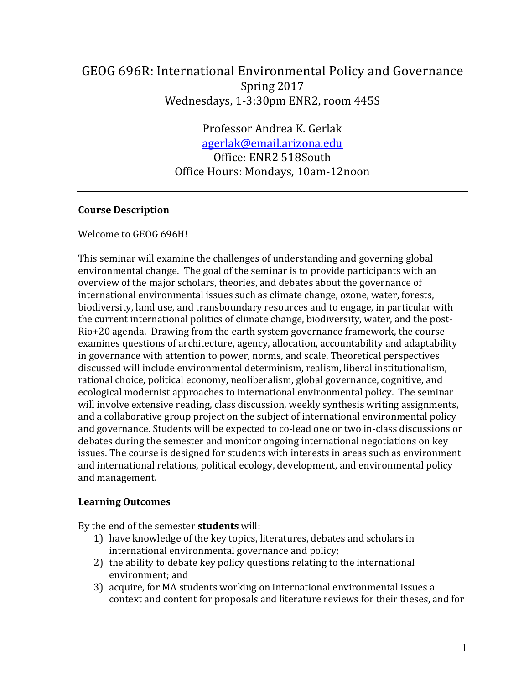# GEOG 696R: International Environmental Policy and Governance Spring 2017 Wednesdays, 1-3:30pm ENR2, room 445S

Professor Andrea K. Gerlak agerlak@email.arizona.edu Office: ENR2 518South Office Hours: Mondays, 10am-12noon

#### **Course Description**

Welcome to GEOG 696H!

This seminar will examine the challenges of understanding and governing global environmental change. The goal of the seminar is to provide participants with an overview of the major scholars, theories, and debates about the governance of international environmental issues such as climate change, ozone, water, forests, biodiversity, land use, and transboundary resources and to engage, in particular with the current international politics of climate change, biodiversity, water, and the post-Rio+20 agenda. Drawing from the earth system governance framework, the course examines questions of architecture, agency, allocation, accountability and adaptability in governance with attention to power, norms, and scale. Theoretical perspectives discussed will include environmental determinism, realism, liberal institutionalism, rational choice, political economy, neoliberalism, global governance, cognitive, and ecological modernist approaches to international environmental policy. The seminar will involve extensive reading, class discussion, weekly synthesis writing assignments, and a collaborative group project on the subject of international environmental policy and governance. Students will be expected to co-lead one or two in-class discussions or debates during the semester and monitor ongoing international negotiations on key issues. The course is designed for students with interests in areas such as environment and international relations, political ecology, development, and environmental policy and management.

#### **Learning Outcomes**

By the end of the semester **students** will:

- 1) have knowledge of the key topics, literatures, debates and scholars in international environmental governance and policy;
- 2) the ability to debate key policy questions relating to the international environment; and
- 3) acquire, for MA students working on international environmental issues a context and content for proposals and literature reviews for their theses, and for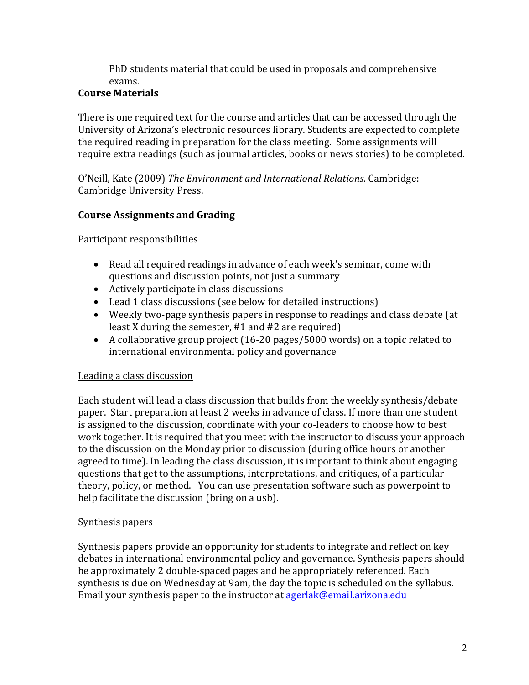PhD students material that could be used in proposals and comprehensive exams. 

# **Course Materials**

There is one required text for the course and articles that can be accessed through the University of Arizona's electronic resources library. Students are expected to complete the required reading in preparation for the class meeting. Some assignments will require extra readings (such as journal articles, books or news stories) to be completed.

O'Neill, Kate (2009) *The Environment and International Relations*. Cambridge: Cambridge University Press.

# **Course Assignments and Grading**

# Participant responsibilities

- Read all required readings in advance of each week's seminar, come with questions and discussion points, not just a summary
- Actively participate in class discussions
- Lead 1 class discussions (see below for detailed instructions)
- Weekly two-page synthesis papers in response to readings and class debate (at least X during the semester,  $#1$  and  $#2$  are required)
- A collaborative group project  $(16-20 \text{ pages}/5000 \text{ words})$  on a topic related to international environmental policy and governance

# Leading a class discussion

Each student will lead a class discussion that builds from the weekly synthesis/debate paper. Start preparation at least 2 weeks in advance of class. If more than one student is assigned to the discussion, coordinate with your co-leaders to choose how to best work together. It is required that you meet with the instructor to discuss your approach to the discussion on the Monday prior to discussion (during office hours or another agreed to time). In leading the class discussion, it is important to think about engaging questions that get to the assumptions, interpretations, and critiques, of a particular theory, policy, or method. You can use presentation software such as powerpoint to help facilitate the discussion (bring on a usb).

# Synthesis papers

Synthesis papers provide an opportunity for students to integrate and reflect on key debates in international environmental policy and governance. Synthesis papers should be approximately 2 double-spaced pages and be appropriately referenced. Each synthesis is due on Wednesday at 9am, the day the topic is scheduled on the syllabus. Email your synthesis paper to the instructor at agerlak@email.arizona.edu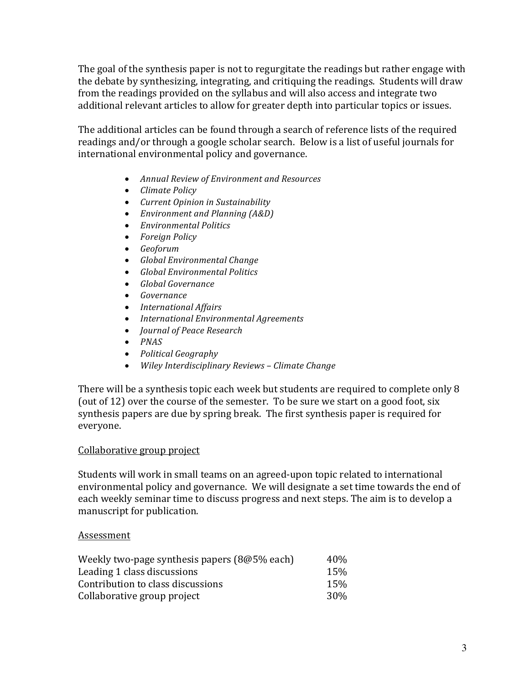The goal of the synthesis paper is not to regurgitate the readings but rather engage with the debate by synthesizing, integrating, and critiquing the readings. Students will draw from the readings provided on the syllabus and will also access and integrate two additional relevant articles to allow for greater depth into particular topics or issues.

The additional articles can be found through a search of reference lists of the required readings and/or through a google scholar search. Below is a list of useful journals for international environmental policy and governance.

- *Annual Review of Environment and Resources*
- *Climate Policy*
- *Current Opinion in Sustainability*
- *Environment and Planning (A&D)*
- *Environmental Politics*
- *Foreign Policy*
- *Geoforum*
- *Global Environmental Change*
- *Global Environmental Politics*
- *Global Governance*
- *Governance*
- *International Affairs*
- *International Environmental Agreements*
- *Journal of Peace Research*
- *PNAS*
- *Political Geography*
- *Wiley Interdisciplinary Reviews – Climate Change*

There will be a synthesis topic each week but students are required to complete only 8 (out of 12) over the course of the semester. To be sure we start on a good foot, six synthesis papers are due by spring break. The first synthesis paper is required for everyone. 

#### Collaborative group project

Students will work in small teams on an agreed-upon topic related to international environmental policy and governance. We will designate a set time towards the end of each weekly seminar time to discuss progress and next steps. The aim is to develop a manuscript for publication.

#### Assessment

| Weekly two-page synthesis papers (8@5% each) | 40%             |
|----------------------------------------------|-----------------|
| Leading 1 class discussions                  | 15%             |
| Contribution to class discussions            | 15%             |
| Collaborative group project                  | 30 <sup>%</sup> |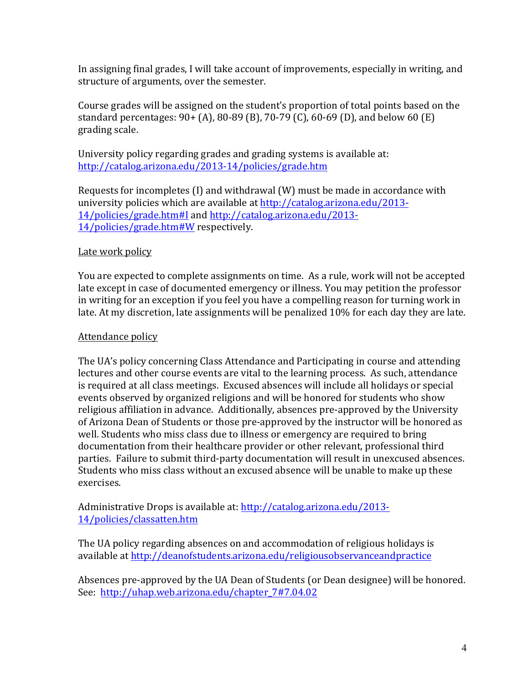In assigning final grades, I will take account of improvements, especially in writing, and structure of arguments, over the semester.

Course grades will be assigned on the student's proportion of total points based on the standard percentages:  $90 + (A)$ ,  $80-89$  (B),  $70-79$  (C),  $60-69$  (D), and below 60 (E) grading scale.

University policy regarding grades and grading systems is available at: http://catalog.arizona.edu/2013-14/policies/grade.htm

Requests for incompletes  $(I)$  and withdrawal  $(W)$  must be made in accordance with university policies which are available at http://catalog.arizona.edu/2013-14/policies/grade.htm#I and http://catalog.arizona.edu/2013- 14/policies/grade.htm#W respectively.

## Late work policy

You are expected to complete assignments on time. As a rule, work will not be accepted late except in case of documented emergency or illness. You may petition the professor in writing for an exception if you feel you have a compelling reason for turning work in late. At my discretion, late assignments will be penalized 10% for each day they are late.

#### Attendance policy

The UA's policy concerning Class Attendance and Participating in course and attending lectures and other course events are vital to the learning process. As such, attendance is required at all class meetings. Excused absences will include all holidays or special events observed by organized religions and will be honored for students who show religious affiliation in advance. Additionally, absences pre-approved by the University of Arizona Dean of Students or those pre-approved by the instructor will be honored as well. Students who miss class due to illness or emergency are required to bring documentation from their healthcare provider or other relevant, professional third parties. Failure to submit third-party documentation will result in unexcused absences. Students who miss class without an excused absence will be unable to make up these exercises. 

Administrative Drops is available at: http://catalog.arizona.edu/2013-14/policies/classatten.htm 

The UA policy regarding absences on and accommodation of religious holidays is available at http://deanofstudents.arizona.edu/religiousobservanceandpractice

Absences pre-approved by the UA Dean of Students (or Dean designee) will be honored. See: http://uhap.web.arizona.edu/chapter 7#7.04.02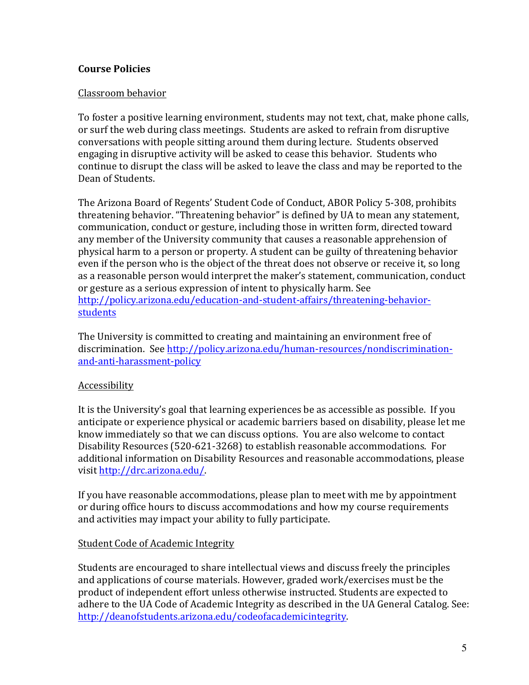## **Course Policies**

#### Classroom behavior

To foster a positive learning environment, students may not text, chat, make phone calls, or surf the web during class meetings. Students are asked to refrain from disruptive conversations with people sitting around them during lecture. Students observed engaging in disruptive activity will be asked to cease this behavior. Students who continue to disrupt the class will be asked to leave the class and may be reported to the Dean of Students.

The Arizona Board of Regents' Student Code of Conduct, ABOR Policy 5-308, prohibits threatening behavior. "Threatening behavior" is defined by UA to mean any statement, communication, conduct or gesture, including those in written form, directed toward any member of the University community that causes a reasonable apprehension of physical harm to a person or property. A student can be guilty of threatening behavior even if the person who is the object of the threat does not observe or receive it, so long as a reasonable person would interpret the maker's statement, communication, conduct or gesture as a serious expression of intent to physically harm. See http://policy.arizona.edu/education-and-student-affairs/threatening-behaviorstudents

The University is committed to creating and maintaining an environment free of discrimination. See http://policy.arizona.edu/human-resources/nondiscriminationand-anti-harassment-policy

#### Accessibility

It is the University's goal that learning experiences be as accessible as possible. If you anticipate or experience physical or academic barriers based on disability, please let me know immediately so that we can discuss options. You are also welcome to contact Disability Resources (520-621-3268) to establish reasonable accommodations. For additional information on Disability Resources and reasonable accommodations, please visit http://drc.arizona.edu/.

If you have reasonable accommodations, please plan to meet with me by appointment or during office hours to discuss accommodations and how my course requirements and activities may impact your ability to fully participate.

#### **Student Code of Academic Integrity**

Students are encouraged to share intellectual views and discuss freely the principles and applications of course materials. However, graded work/exercises must be the product of independent effort unless otherwise instructed. Students are expected to adhere to the UA Code of Academic Integrity as described in the UA General Catalog. See: http://deanofstudents.arizona.edu/codeofacademicintegrity.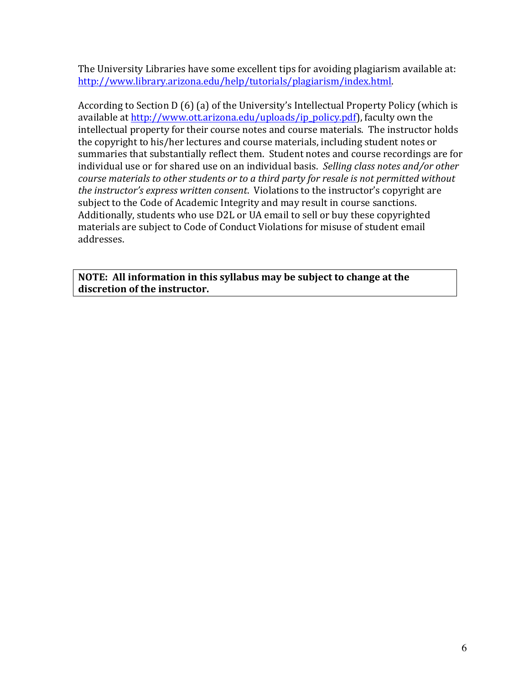The University Libraries have some excellent tips for avoiding plagiarism available at: http://www.library.arizona.edu/help/tutorials/plagiarism/index.html.

According to Section  $D(6)$  (a) of the University's Intellectual Property Policy (which is available at http://www.ott.arizona.edu/uploads/ip\_policy.pdf), faculty own the intellectual property for their course notes and course materials. The instructor holds the copyright to his/her lectures and course materials, including student notes or summaries that substantially reflect them. Student notes and course recordings are for individual use or for shared use on an individual basis. Selling class notes and/or other *course materials to other students or to a third party for resale is not permitted without the instructor's express written consent.* Violations to the *instructor's copyright are* subject to the Code of Academic Integrity and may result in course sanctions. Additionally, students who use D2L or UA email to sell or buy these copyrighted materials are subject to Code of Conduct Violations for misuse of student email addresses.

**NOTE:** All information in this syllabus may be subject to change at the discretion of the instructor.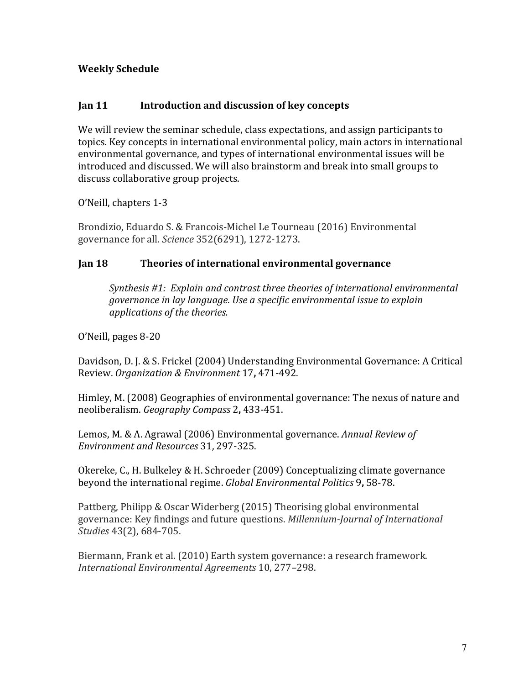# **Weekly Schedule**

#### **Jan 11 Introduction and discussion of key concepts**

We will review the seminar schedule, class expectations, and assign participants to topics. Key concepts in international environmental policy, main actors in international environmental governance, and types of international environmental issues will be introduced and discussed. We will also brainstorm and break into small groups to discuss collaborative group projects.

O'Neill, chapters 1-3

Brondizio, Eduardo S. & Francois-Michel Le Tourneau (2016) Environmental governance for all. *Science* 352(6291), 1272-1273.

## **Jan 18 Theories of international environmental governance**

*Synthesis* #1: *Explain and contrast three theories of international environmental governance* in lay language. Use a specific environmental issue to explain *applications of the theories.*

O'Neill, pages 8-20

Davidson, D. J. & S. Frickel (2004) Understanding Environmental Governance: A Critical Review. *Organization & Environment* 17**,** 471-492.

Himley, M. (2008) Geographies of environmental governance: The nexus of nature and neoliberalism. *Geography Compass* 2**,** 433-451.

Lemos, M. & A. Agrawal (2006) Environmental governance. *Annual Review of Environment and Resources* 31, 297-325.

Okereke, C., H. Bulkeley & H. Schroeder (2009) Conceptualizing climate governance beyond the international regime. *Global Environmental Politics* 9, 58-78.

Pattberg, Philipp & Oscar Widerberg (2015) Theorising global environmental governance: Key findings and future questions. *Millennium-Journal of International Studies* 43(2), 684-705.

Biermann, Frank et al. (2010) Earth system governance: a research framework. *International Environmental Agreements* 10, 277–298.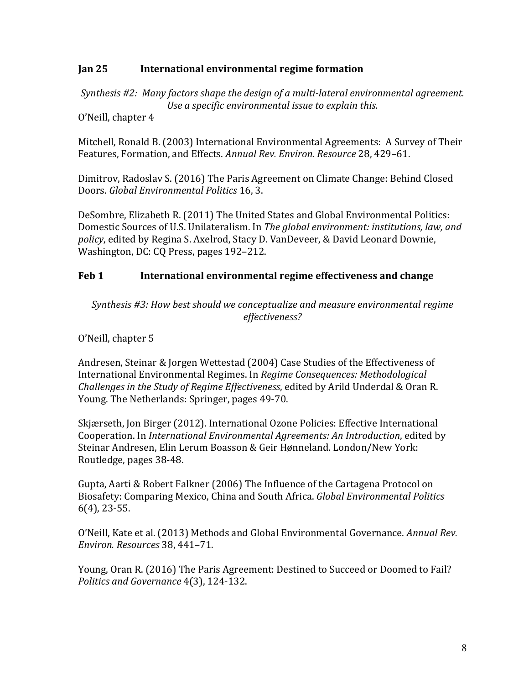#### **Jan 25 International environmental regime formation**

*Synthesis* #2: Many factors shape the design of a multi-lateral environmental agreement. Use a specific environmental issue to explain this.

O'Neill, chapter 4

Mitchell, Ronald B. (2003) International Environmental Agreements: A Survey of Their Features, Formation, and Effects. Annual Rev. Environ. Resource 28, 429-61.

Dimitrov, Radoslav S. (2016) The Paris Agreement on Climate Change: Behind Closed Doors. *Global Environmental Politics* 16, 3.

DeSombre, Elizabeth R. (2011) The United States and Global Environmental Politics: Domestic Sources of U.S. Unilateralism. In *The global environment: institutions, law, and* policy, edited by Regina S. Axelrod, Stacy D. VanDeveer, & David Leonard Downie, Washington, DC: CQ Press, pages 192-212.

## **Feb 1** International environmental regime effectiveness and change

*Synthesis* #3: How best should we conceptualize and measure environmental regime *effectiveness?*

O'Neill, chapter 5

Andresen, Steinar & Jorgen Wettestad (2004) Case Studies of the Effectiveness of International Environmental Regimes. In *Regime Consequences: Methodological Challenges in the Study of Regime Effectiveness, edited by Arild Underdal & Oran R.* Young. The Netherlands: Springer, pages 49-70.

Skjærseth, Jon Birger (2012). International Ozone Policies: Effective International Cooperation. In *International Environmental Agreements: An Introduction*, edited by Steinar Andresen, Elin Lerum Boasson & Geir Hønneland. London/New York: Routledge, pages 38-48.

Gupta, Aarti & Robert Falkner (2006) The Influence of the Cartagena Protocol on Biosafety: Comparing Mexico, China and South Africa. *Global Environmental Politics*  $6(4)$ , 23-55.

O'Neill, Kate et al. (2013) Methods and Global Environmental Governance. Annual Rev. *Environ. Resources* 38, 441–71.

Young, Oran R. (2016) The Paris Agreement: Destined to Succeed or Doomed to Fail? *Politics and Governance* 4(3), 124-132.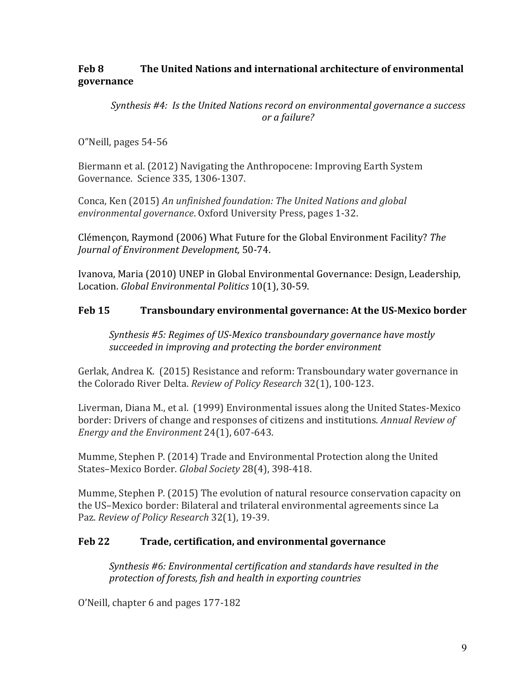# **Feb 8 The United Nations and international architecture of environmental governance**

*Synthesis* #4: *Is the United Nations record on environmental governance a success or a failure?*

O"Neill, pages 54-56

Biermann et al. (2012) Navigating the Anthropocene: Improving Earth System Governance. Science 335, 1306-1307.

Conca, Ken (2015) An unfinished foundation: The United Nations and global environmental governance. Oxford University Press, pages 1-32.

Clémençon, Raymond (2006) What Future for the Global Environment Facility? The *Journal of Environment Development,* 50-74.

Ivanova, Maria (2010) UNEP in Global Environmental Governance: Design, Leadership, Location. *Global Environmental Politics* 10(1), 30-59.

# **Feb 15** Transboundary environmental governance: At the US-Mexico border

*Synthesis* #5: Regimes of US-Mexico transboundary governance have mostly succeeded in improving and protecting the border environment

Gerlak, Andrea K. (2015) Resistance and reform: Transboundary water governance in the Colorado River Delta. *Review of Policy Research* 32(1), 100-123.

Liverman, Diana M., et al. (1999) Environmental issues along the United States-Mexico border: Drivers of change and responses of citizens and institutions. *Annual Review of Energy and the Environment* 24(1), 607-643.

Mumme, Stephen P. (2014) Trade and Environmental Protection along the United States–Mexico Border. *Global Society* 28(4), 398-418.

Mumme, Stephen P. (2015) The evolution of natural resource conservation capacity on the US-Mexico border: Bilateral and trilateral environmental agreements since La Paz. *Review of Policy Research* 32(1), 19-39.

# **Feb 22 Trade, certification, and environmental governance**

*Synthesis* #6: Environmental certification and standards have resulted in the protection of forests, fish and health in exporting countries

O'Neill, chapter 6 and pages 177-182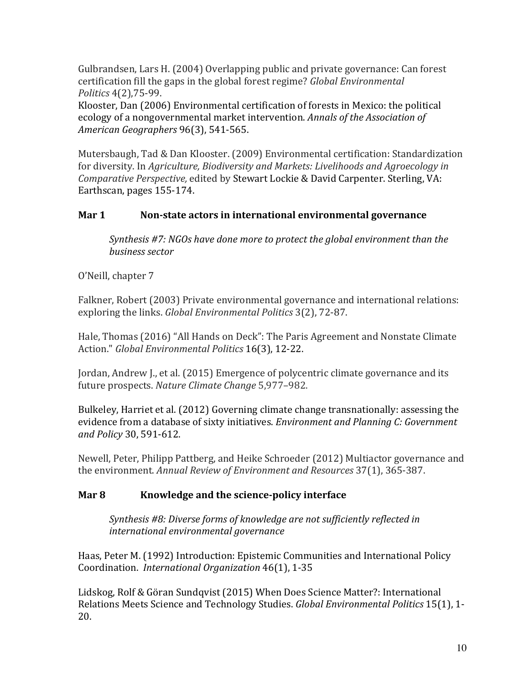Gulbrandsen, Lars H. (2004) Overlapping public and private governance: Can forest certification fill the gaps in the global forest regime? *Global Environmental Politics* 4(2),75-99.

Klooster, Dan (2006) Environmental certification of forests in Mexico: the political ecology of a nongovernmental market intervention. *Annals of the Association of American Geographers* 96(3), 541-565.

Mutersbaugh, Tad & Dan Klooster. (2009) Environmental certification: Standardization for diversity. In *Agriculture, Biodiversity and Markets: Livelihoods and Agroecology in Comparative Perspective,* edited by Stewart Lockie & David Carpenter. Sterling, VA: Earthscan, pages 155-174.

# **Mar 1** Non-state actors in international environmental governance

*Synthesis* #7: NGOs have done more to protect the global environment than the *business sector* 

O'Neill, chapter 7

Falkner, Robert (2003) Private environmental governance and international relations: exploring the links. *Global Environmental Politics* 3(2), 72-87.

Hale, Thomas (2016) "All Hands on Deck": The Paris Agreement and Nonstate Climate Action." *Global Environmental Politics* 16(3), 12-22.

Jordan, Andrew J., et al. (2015) Emergence of polycentric climate governance and its future prospects. *Nature Climate Change* 5,977-982.

Bulkeley, Harriet et al. (2012) Governing climate change transnationally: assessing the evidence from a database of sixty initiatives. *Environment and Planning C: Government and Policy* 30, 591-612. 

Newell, Peter, Philipp Pattberg, and Heike Schroeder (2012) Multiactor governance and the environment. *Annual Review of Environment and Resources* 37(1), 365-387.

# **Mar 8 Knowledge and the science-policy interface**

*Synthesis* #8: Diverse forms of knowledge are not sufficiently reflected in *international environmental governance* 

Haas, Peter M. (1992) Introduction: Epistemic Communities and International Policy Coordination. *International Organization* 46(1), 1-35

Lidskog, Rolf & Göran Sundqvist (2015) When Does Science Matter?: International Relations Meets Science and Technology Studies. *Global Environmental Politics* 15(1), 1-20.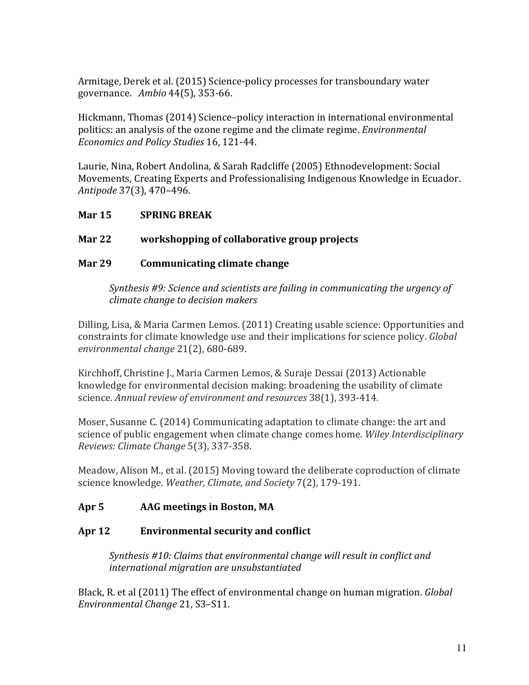Armitage, Derek et al. (2015) Science-policy processes for transboundary water governance. *Ambio* 44(5), 353-66.

Hickmann, Thomas (2014) Science-policy interaction in international environmental politics: an analysis of the ozone regime and the climate regime. *Environmental Economics and Policy Studies* 16, 121-44.

Laurie, Nina, Robert Andolina, & Sarah Radcliffe (2005) Ethnodevelopment: Social Movements, Creating Experts and Professionalising Indigenous Knowledge in Ecuador. *Antipode* 37(3), 470–496.

## **Mar 15 SPRING BREAK**

# **Mar 22** workshopping of collaborative group projects

## **Mar 29 Communicating climate change**

*Synthesis* #9: Science and scientists are failing in communicating the urgency of *climate change to decision makers*

Dilling, Lisa, & Maria Carmen Lemos. (2011) Creating usable science: Opportunities and constraints for climate knowledge use and their implications for science policy. *Global environmental change* 21(2), 680-689.

Kirchhoff, Christine J., Maria Carmen Lemos, & Suraje Dessai (2013) Actionable knowledge for environmental decision making: broadening the usability of climate science. Annual review of environment and resources 38(1), 393-414.

Moser, Susanne C. (2014) Communicating adaptation to climate change: the art and science of public engagement when climate change comes home. *Wiley Interdisciplinary Reviews: Climate Change* 5(3), 337-358.

Meadow, Alison M., et al. (2015) Moving toward the deliberate coproduction of climate science knowledge. *Weather, Climate, and Society* 7(2), 179-191.

# Apr 5 **AAG** meetings in Boston, MA

# Apr 12 **Environmental security and conflict**

*Synthesis* #10: Claims that environmental change will result in conflict and *international migration are unsubstantiated*

Black, R. et al (2011) The effect of environmental change on human migration. *Global Environmental Change* 21, S3–S11.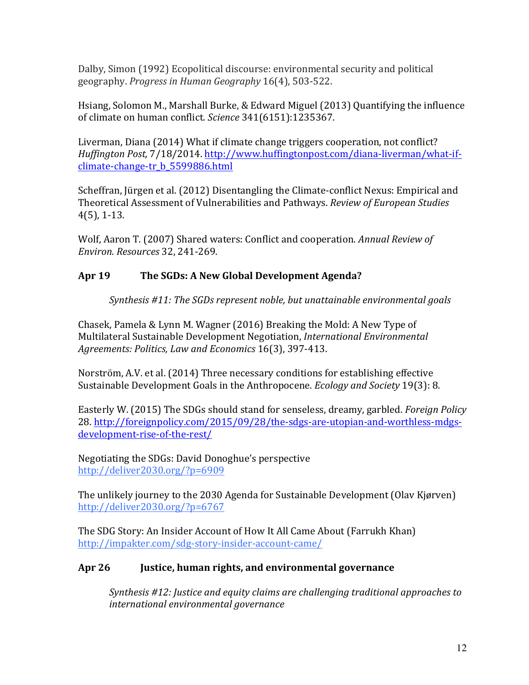Dalby, Simon (1992) Ecopolitical discourse: environmental security and political geography. *Progress in Human Geography* 16(4), 503-522.

Hsiang, Solomon M., Marshall Burke, & Edward Miguel  $(2013)$  Quantifying the influence of climate on human conflict. *Science* 341(6151):1235367.

Liverman, Diana (2014) What if climate change triggers cooperation, not conflict? *Huffington Post,* 7/18/2014. http://www.huffingtonpost.com/diana-liverman/what-ifclimate-change-tr\_b\_5599886.html

Scheffran, Jürgen et al. (2012) Disentangling the Climate-conflict Nexus: Empirical and Theoretical Assessment of Vulnerabilities and Pathways. *Review of European Studies*  $4(5)$ , 1-13.

Wolf, Aaron T. (2007) Shared waters: Conflict and cooperation. *Annual Review of Environ. Resources* 32, 241-269.

# Apr 19 The SGDs: A New Global Development Agenda?

*Synthesis* #11: The *SGDs represent noble, but unattainable environmental goals* 

Chasek, Pamela & Lynn M. Wagner (2016) Breaking the Mold: A New Type of Multilateral Sustainable Development Negotiation, *International Environmental Agreements: Politics, Law and Economics* 16(3), 397-413.

Norström, A.V. et al. (2014) Three necessary conditions for establishing effective Sustainable Development Goals in the Anthropocene. *Ecology and Society* 19(3): 8.

Easterly W. (2015) The SDGs should stand for senseless, dreamy, garbled. *Foreign Policy* 28. http://foreignpolicy.com/2015/09/28/the-sdgs-are-utopian-and-worthless-mdgsdevelopment-rise-of-the-rest/

Negotiating the SDGs: David Donoghue's perspective http://deliver2030.org/?p=6909

The unlikely journey to the 2030 Agenda for Sustainable Development (Olav Kjørven) http://deliver2030.org/?p=6767

The SDG Story: An Insider Account of How It All Came About (Farrukh Khan) http://impakter.com/sdg-story-insider-account-came/

# Apr 26 **Justice, human rights, and environmental governance**

*Synthesis* #12: Justice and equity claims are challenging traditional approaches to *international environmental governance*